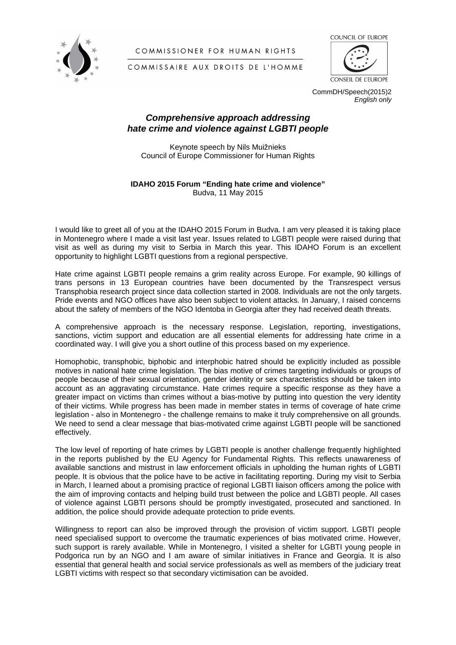

COMMISSIONER FOR HUMAN RIGHTS



CONSEIL DE L'EUROPE

COMMISSAIRE AUX DROITS DE L'HOMME

CommDH/Speech(2015)2 *English only*

## *Comprehensive approach addressing hate crime and violence against LGBTI people*

Keynote speech by Nils Muižnieks Council of Europe Commissioner for Human Rights

## **IDAHO 2015 Forum "Ending hate crime and violence"** Budva, 11 May 2015

I would like to greet all of you at the IDAHO 2015 Forum in Budva. I am very pleased it is taking place in Montenegro where I made a visit last year. Issues related to LGBTI people were raised during that visit as well as during my visit to Serbia in March this year. This IDAHO Forum is an excellent opportunity to highlight LGBTI questions from a regional perspective.

Hate crime against LGBTI people remains a grim reality across Europe. For example, 90 killings of trans persons in 13 European countries have been documented by the Transrespect versus Transphobia research project since data collection started in 2008. Individuals are not the only targets. Pride events and NGO offices have also been subject to violent attacks. In January, I raised concerns about the safety of members of the NGO Identoba in Georgia after they had received death threats.

A comprehensive approach is the necessary response. Legislation, reporting, investigations, sanctions, victim support and education are all essential elements for addressing hate crime in a coordinated way. I will give you a short outline of this process based on my experience.

Homophobic, transphobic, biphobic and interphobic hatred should be explicitly included as possible motives in national hate crime legislation. The bias motive of crimes targeting individuals or groups of people because of their sexual orientation, gender identity or sex characteristics should be taken into account as an aggravating circumstance. Hate crimes require a specific response as they have a greater impact on victims than crimes without a bias-motive by putting into question the very identity of their victims. While progress has been made in member states in terms of coverage of hate crime legislation - also in Montenegro - the challenge remains to make it truly comprehensive on all grounds. We need to send a clear message that bias-motivated crime against LGBTI people will be sanctioned effectively.

The low level of reporting of hate crimes by LGBTI people is another challenge frequently highlighted in the reports published by the EU Agency for Fundamental Rights. This reflects unawareness of available sanctions and mistrust in law enforcement officials in upholding the human rights of LGBTI people. It is obvious that the police have to be active in facilitating reporting. During my visit to Serbia in March, I learned about a promising practice of regional LGBTI liaison officers among the police with the aim of improving contacts and helping build trust between the police and LGBTI people. All cases of violence against LGBTI persons should be promptly investigated, prosecuted and sanctioned. In addition, the police should provide adequate protection to pride events.

Willingness to report can also be improved through the provision of victim support. LGBTI people need specialised support to overcome the traumatic experiences of bias motivated crime. However, such support is rarely available. While in Montenegro, I visited a shelter for LGBTI young people in Podgorica run by an NGO and I am aware of similar initiatives in France and Georgia. It is also essential that general health and social service professionals as well as members of the judiciary treat LGBTI victims with respect so that secondary victimisation can be avoided.